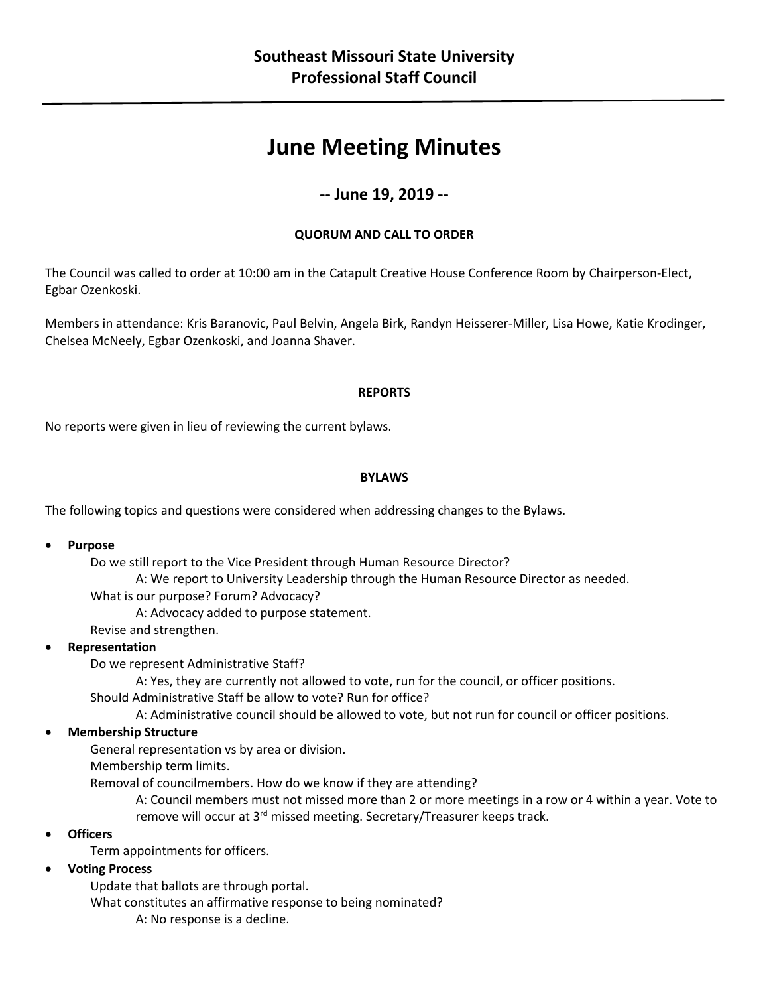# **June Meeting Minutes**

## **-- June 19, 2019 --**

#### **QUORUM AND CALL TO ORDER**

The Council was called to order at 10:00 am in the Catapult Creative House Conference Room by Chairperson-Elect, Egbar Ozenkoski.

Members in attendance: Kris Baranovic, Paul Belvin, Angela Birk, Randyn Heisserer-Miller, Lisa Howe, Katie Krodinger, Chelsea McNeely, Egbar Ozenkoski, and Joanna Shaver.

#### **REPORTS**

No reports were given in lieu of reviewing the current bylaws.

#### **BYLAWS**

The following topics and questions were considered when addressing changes to the Bylaws.

**Purpose**

Do we still report to the Vice President through Human Resource Director?

A: We report to University Leadership through the Human Resource Director as needed.

What is our purpose? Forum? Advocacy?

A: Advocacy added to purpose statement.

Revise and strengthen.

#### **Representation**

Do we represent Administrative Staff?

A: Yes, they are currently not allowed to vote, run for the council, or officer positions.

Should Administrative Staff be allow to vote? Run for office?

A: Administrative council should be allowed to vote, but not run for council or officer positions.

#### **Membership Structure**

General representation vs by area or division.

Membership term limits.

Removal of councilmembers. How do we know if they are attending?

A: Council members must not missed more than 2 or more meetings in a row or 4 within a year. Vote to remove will occur at 3<sup>rd</sup> missed meeting. Secretary/Treasurer keeps track.

**Officers**

Term appointments for officers.

#### **Voting Process**

Update that ballots are through portal. What constitutes an affirmative response to being nominated? A: No response is a decline.